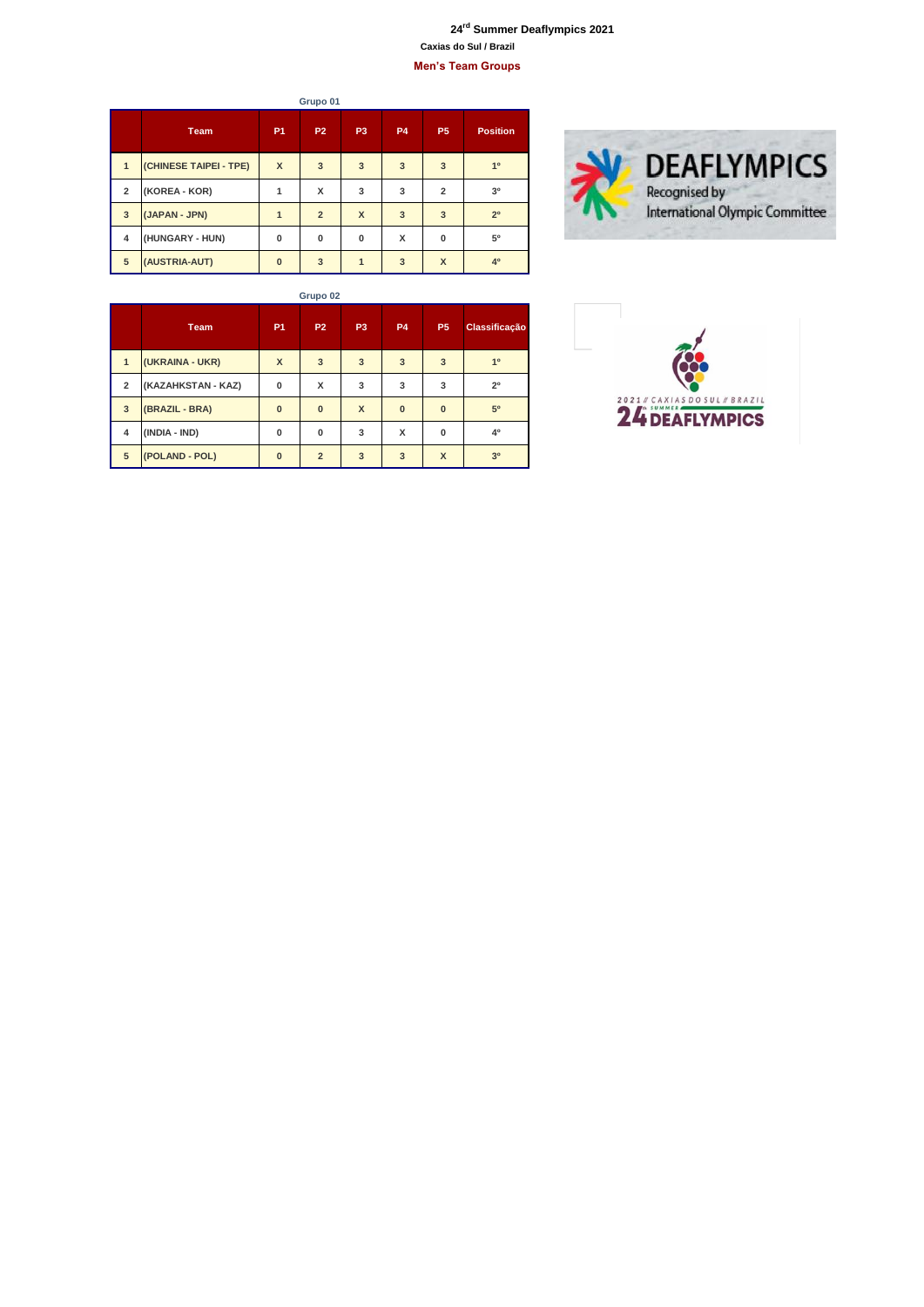## **rd Summer Deaflympics 2021 Caxias do Sul / Brazil Men's Team Groups**

**Team P1 P2 P3 P4 P5 Position (CHINESE TAIPEI - TPE) X 3 3 3 3 1º (KOREA - KOR) 1 X 3 3 2 3º (JAPAN - JPN) 1 2 X 3 3 2º (HUNGARY - HUN) 0 0 0 X 0 5º (AUSTRIA-AUT) 0 3 1 3 X 4º Grupo 01**



| × | ٧<br>× |
|---|--------|

|                | <b>Team</b>        | <b>P1</b>                 | <b>P2</b>      | P <sub>3</sub> | <b>P4</b>    | P <sub>5</sub> | <b>Classificação</b> |
|----------------|--------------------|---------------------------|----------------|----------------|--------------|----------------|----------------------|
| 1              | (UKRAINA - UKR)    | $\boldsymbol{\mathsf{x}}$ | 3              | 3              | 3            | 3              | 1 <sup>0</sup>       |
| $\overline{2}$ | (KAZAHKSTAN - KAZ) | $\bf{0}$                  | x              | 3              | 3            | 3              | 2 <sup>0</sup>       |
| 3              | (BRAZIL - BRA)     | $\bf{0}$                  | $\mathbf{0}$   | $\mathbf{x}$   | $\mathbf{0}$ | $\bf{0}$       | 50                   |
| 4              | (INDIA - IND)      | $\bf{0}$                  | 0              | 3              | x            | 0              | 40                   |
| 5              | (POLAND - POL)     | $\bf{0}$                  | $\overline{2}$ | 3              | 3            | X              | 3 <sup>0</sup>       |